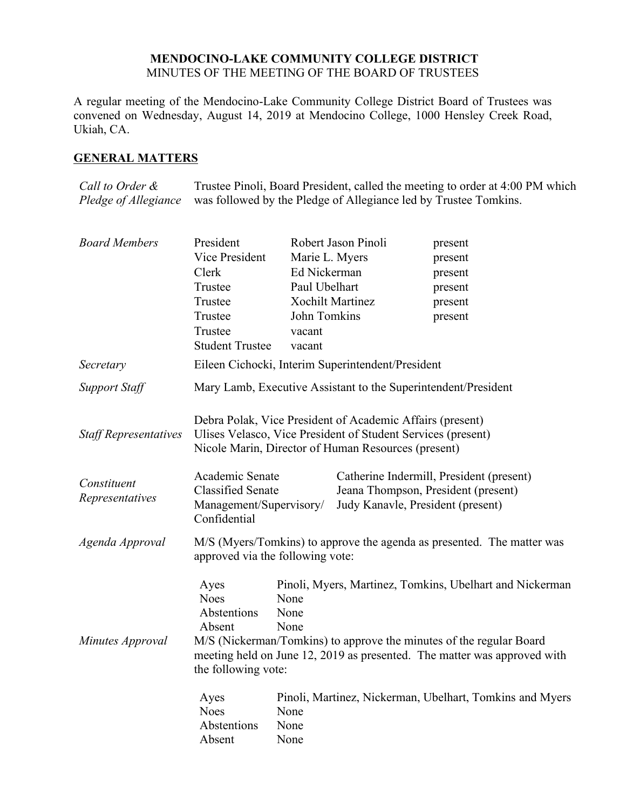## **MENDOCINO-LAKE COMMUNITY COLLEGE DISTRICT** MINUTES OF THE MEETING OF THE BOARD OF TRUSTEES

A regular meeting of the Mendocino-Lake Community College District Board of Trustees was convened on Wednesday, August 14, 2019 at Mendocino College, 1000 Hensley Creek Road, Ukiah, CA.

# **GENERAL MATTERS**

*Call to Order & Pledge of Allegiance* Trustee Pinoli, Board President, called the meeting to order at 4:00 PM which was followed by the Pledge of Allegiance led by Trustee Tomkins.

| <b>Board Members</b>           | President                                                                              | Robert Jason Pinoli     |                                                                                                                                                                                  | present                                                                                                                                                                                                     |
|--------------------------------|----------------------------------------------------------------------------------------|-------------------------|----------------------------------------------------------------------------------------------------------------------------------------------------------------------------------|-------------------------------------------------------------------------------------------------------------------------------------------------------------------------------------------------------------|
|                                | Vice President                                                                         | Marie L. Myers          |                                                                                                                                                                                  | present                                                                                                                                                                                                     |
|                                | Clerk                                                                                  | Ed Nickerman            |                                                                                                                                                                                  | present                                                                                                                                                                                                     |
|                                | Trustee                                                                                | Paul Ubelhart           |                                                                                                                                                                                  | present                                                                                                                                                                                                     |
|                                | Trustee                                                                                | <b>Xochilt Martinez</b> |                                                                                                                                                                                  | present                                                                                                                                                                                                     |
|                                | Trustee                                                                                | John Tomkins            |                                                                                                                                                                                  | present                                                                                                                                                                                                     |
|                                | Trustee                                                                                | vacant                  |                                                                                                                                                                                  |                                                                                                                                                                                                             |
|                                | <b>Student Trustee</b>                                                                 | vacant                  |                                                                                                                                                                                  |                                                                                                                                                                                                             |
| Secretary                      |                                                                                        |                         | Eileen Cichocki, Interim Superintendent/President                                                                                                                                |                                                                                                                                                                                                             |
| <b>Support Staff</b>           |                                                                                        |                         | Mary Lamb, Executive Assistant to the Superintendent/President                                                                                                                   |                                                                                                                                                                                                             |
| <b>Staff Representatives</b>   |                                                                                        |                         | Debra Polak, Vice President of Academic Affairs (present)<br>Ulises Velasco, Vice President of Student Services (present)<br>Nicole Marin, Director of Human Resources (present) |                                                                                                                                                                                                             |
| Constituent<br>Representatives | Academic Senate<br><b>Classified Senate</b><br>Management/Supervisory/<br>Confidential |                         | Jeana Thompson, President (present)<br>Judy Kanavle, President (present)                                                                                                         | Catherine Indermill, President (present)                                                                                                                                                                    |
| Agenda Approval                | approved via the following vote:                                                       |                         |                                                                                                                                                                                  | M/S (Myers/Tomkins) to approve the agenda as presented. The matter was                                                                                                                                      |
| Minutes Approval               | Ayes<br><b>Noes</b><br>Abstentions<br>Absent<br>the following vote:                    | None<br>None<br>None    |                                                                                                                                                                                  | Pinoli, Myers, Martinez, Tomkins, Ubelhart and Nickerman<br>M/S (Nickerman/Tomkins) to approve the minutes of the regular Board<br>meeting held on June 12, 2019 as presented. The matter was approved with |
|                                | Ayes<br><b>Noes</b><br>Abstentions<br>Absent                                           | None<br>None<br>None    |                                                                                                                                                                                  | Pinoli, Martinez, Nickerman, Ubelhart, Tomkins and Myers                                                                                                                                                    |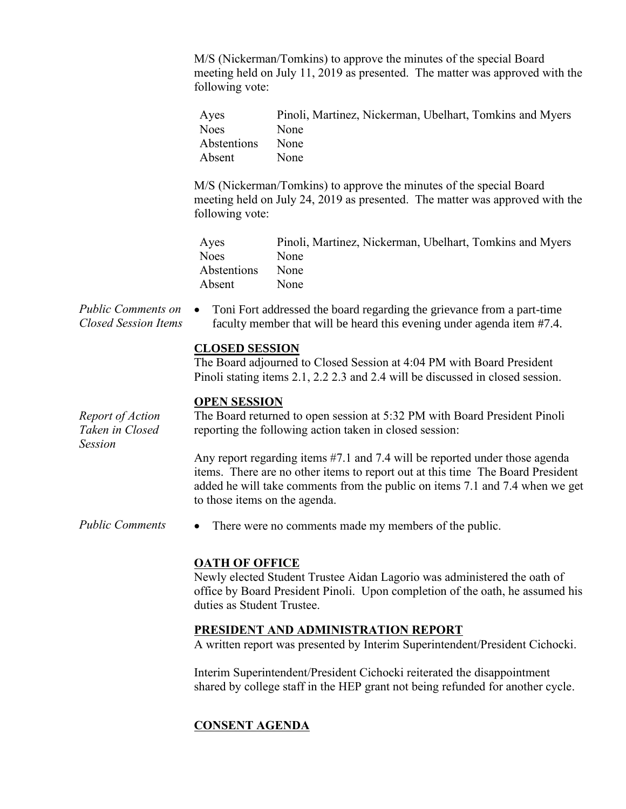M/S (Nickerman/Tomkins) to approve the minutes of the special Board meeting held on July 11, 2019 as presented. The matter was approved with the following vote:

| Ayes        | Pinoli, Martinez, Nickerman, Ubelhart, Tomkins and Myers |
|-------------|----------------------------------------------------------|
| <b>Noes</b> | None                                                     |
| Abstentions | None                                                     |
| Absent      | <b>None</b>                                              |

M/S (Nickerman/Tomkins) to approve the minutes of the special Board meeting held on July 24, 2019 as presented. The matter was approved with the following vote:

| Ayes        | Pinoli, Martinez, Nickerman, Ubelhart, Tomkins and Myers |
|-------------|----------------------------------------------------------|
| <b>Noes</b> | None                                                     |
| Abstentions | None                                                     |
| Absent      | <b>None</b>                                              |

*Public Comments on Closed Session Items* Toni Fort addressed the board regarding the grievance from a part-time faculty member that will be heard this evening under agenda item #7.4.

### **CLOSED SESSION**

The Board adjourned to Closed Session at 4:04 PM with Board President Pinoli stating items 2.1, 2.2 2.3 and 2.4 will be discussed in closed session.

### **OPEN SESSION**

*Report of Action Taken in Closed* 

*Session*

The Board returned to open session at 5:32 PM with Board President Pinoli reporting the following action taken in closed session:

Any report regarding items #7.1 and 7.4 will be reported under those agenda items. There are no other items to report out at this time The Board President added he will take comments from the public on items 7.1 and 7.4 when we get to those items on the agenda.

*Public Comments* • There were no comments made my members of the public.

# **OATH OF OFFICE**

Newly elected Student Trustee Aidan Lagorio was administered the oath of office by Board President Pinoli. Upon completion of the oath, he assumed his duties as Student Trustee.

# **PRESIDENT AND ADMINISTRATION REPORT**

A written report was presented by Interim Superintendent/President Cichocki.

Interim Superintendent/President Cichocki reiterated the disappointment shared by college staff in the HEP grant not being refunded for another cycle.

# **CONSENT AGENDA**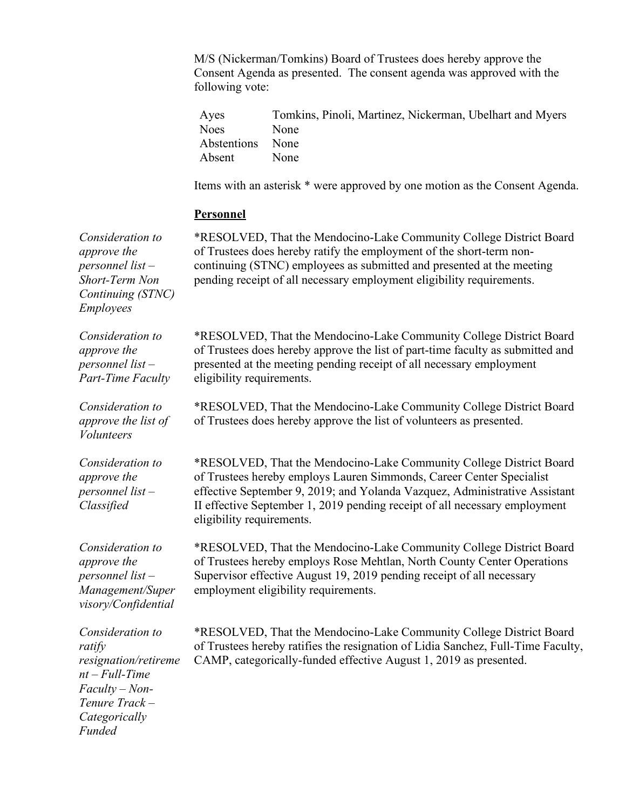M/S (Nickerman/Tomkins) Board of Trustees does hereby approve the Consent Agenda as presented. The consent agenda was approved with the following vote:

| Ayes             | Tomkins, Pinoli, Martinez, Nickerman, Ubelhart and Myers |
|------------------|----------------------------------------------------------|
| Noes             | None                                                     |
| Abstentions None |                                                          |
| Absent           | None                                                     |

Items with an asterisk \* were approved by one motion as the Consent Agenda.

#### **Personnel**

*Consideration to approve the personnel list – Short-Term Non Continuing (STNC) Employees*

*Consideration to approve the personnel list – Part-Time Faculty*

*Consideration to approve the list of Volunteers*

*Consideration to approve the personnel list – Classified*

*Consideration to approve the personnel list – Management/Super visory/Confidential*

*Consideration to ratify resignation/retireme nt – Full-Time Faculty – Non-Tenure Track – Categorically Funded*

\*RESOLVED, That the Mendocino-Lake Community College District Board of Trustees does hereby ratify the employment of the short-term noncontinuing (STNC) employees as submitted and presented at the meeting pending receipt of all necessary employment eligibility requirements.

\*RESOLVED, That the Mendocino-Lake Community College District Board of Trustees does hereby approve the list of part-time faculty as submitted and presented at the meeting pending receipt of all necessary employment eligibility requirements.

\*RESOLVED, That the Mendocino-Lake Community College District Board of Trustees does hereby approve the list of volunteers as presented.

\*RESOLVED, That the Mendocino-Lake Community College District Board of Trustees hereby employs Lauren Simmonds, Career Center Specialist effective September 9, 2019; and Yolanda Vazquez, Administrative Assistant II effective September 1, 2019 pending receipt of all necessary employment eligibility requirements.

\*RESOLVED, That the Mendocino-Lake Community College District Board of Trustees hereby employs Rose Mehtlan, North County Center Operations Supervisor effective August 19, 2019 pending receipt of all necessary employment eligibility requirements.

\*RESOLVED, That the Mendocino-Lake Community College District Board of Trustees hereby ratifies the resignation of Lidia Sanchez, Full-Time Faculty, CAMP, categorically-funded effective August 1, 2019 as presented.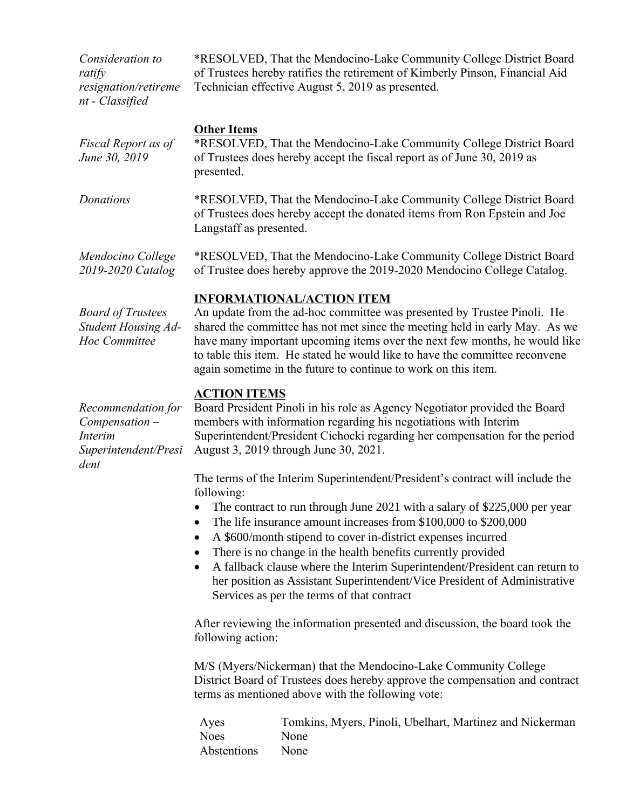*Consideration to ratify resignation/retireme nt - Classified*

\*RESOLVED, That the Mendocino-Lake Community College District Board of Trustees hereby ratifies the retirement of Kimberly Pinson, Financial Aid Technician effective August 5, 2019 as presented.

| Fiscal Report as of<br>June 30, 2019 | <b>Other Items</b><br>*RESOLVED, That the Mendocino-Lake Community College District Board<br>of Trustees does hereby accept the fiscal report as of June 30, 2019 as<br>presented. |
|--------------------------------------|------------------------------------------------------------------------------------------------------------------------------------------------------------------------------------|
| Donations                            | *RESOLVED, That the Mendocino-Lake Community College District Board<br>of Trustees does hereby accept the donated items from Ron Epstein and Joe<br>Langstaff as presented.        |
| Mendocino College                    | *RESOLVED, That the Mendocino-Lake Community College District Board                                                                                                                |

#### **INFORMATIONAL/ACTION ITEM**

*Board of Trustees Student Housing Ad-Hoc Committee*

*2019-2020 Catalog*

An update from the ad-hoc committee was presented by Trustee Pinoli. He shared the committee has not met since the meeting held in early May. As we have many important upcoming items over the next few months, he would like to table this item. He stated he would like to have the committee reconvene again sometime in the future to continue to work on this item.

of Trustee does hereby approve the 2019-2020 Mendocino College Catalog.

#### **ACTION ITEMS**

*Recommendation for Compensation – Interim Superintendent/Presi dent*

Board President Pinoli in his role as Agency Negotiator provided the Board members with information regarding his negotiations with Interim Superintendent/President Cichocki regarding her compensation for the period August 3, 2019 through June 30, 2021.

The terms of the Interim Superintendent/President's contract will include the following:

- The contract to run through June 2021 with a salary of \$225,000 per year
- The life insurance amount increases from \$100,000 to \$200,000
- A \$600/month stipend to cover in-district expenses incurred
- There is no change in the health benefits currently provided
- A fallback clause where the Interim Superintendent/President can return to her position as Assistant Superintendent/Vice President of Administrative Services as per the terms of that contract

After reviewing the information presented and discussion, the board took the following action:

M/S (Myers/Nickerman) that the Mendocino-Lake Community College District Board of Trustees does hereby approve the compensation and contract terms as mentioned above with the following vote:

Ayes Tomkins, Myers, Pinoli, Ubelhart, Martinez and Nickerman Noes None Abstentions None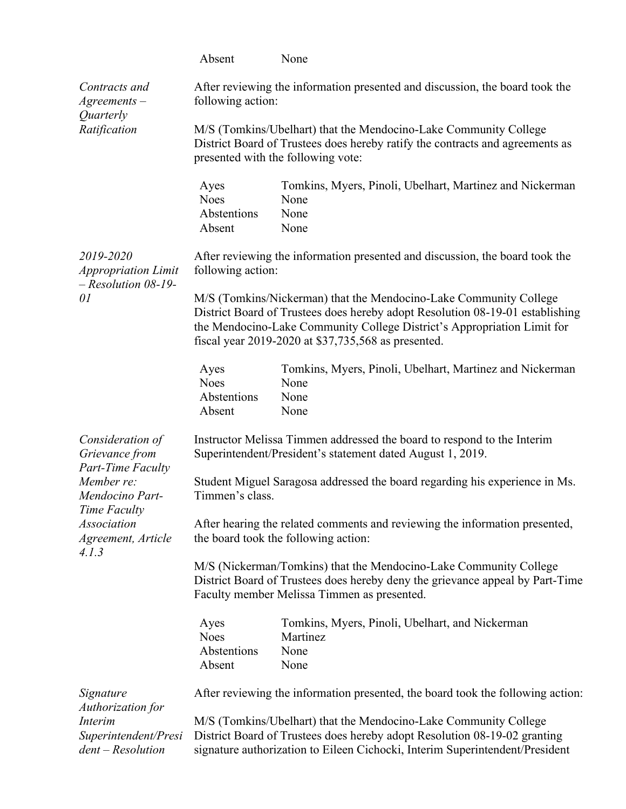|                                                                                                                  | Absent                                       | None                                                                                                                                                                                                                                                                                 |
|------------------------------------------------------------------------------------------------------------------|----------------------------------------------|--------------------------------------------------------------------------------------------------------------------------------------------------------------------------------------------------------------------------------------------------------------------------------------|
| Contracts and<br>$A$ greements $-$<br>Quarterly                                                                  | following action:                            | After reviewing the information presented and discussion, the board took the                                                                                                                                                                                                         |
| Ratification                                                                                                     |                                              | M/S (Tomkins/Ubelhart) that the Mendocino-Lake Community College<br>District Board of Trustees does hereby ratify the contracts and agreements as<br>presented with the following vote:                                                                                              |
|                                                                                                                  | Ayes<br><b>Noes</b><br>Abstentions<br>Absent | Tomkins, Myers, Pinoli, Ubelhart, Martinez and Nickerman<br>None<br>None<br>None                                                                                                                                                                                                     |
| 2019-2020<br><b>Appropriation Limit</b><br>$-$ Resolution 08-19-<br>01                                           | following action:                            | After reviewing the information presented and discussion, the board took the                                                                                                                                                                                                         |
|                                                                                                                  |                                              | M/S (Tomkins/Nickerman) that the Mendocino-Lake Community College<br>District Board of Trustees does hereby adopt Resolution 08-19-01 establishing<br>the Mendocino-Lake Community College District's Appropriation Limit for<br>fiscal year 2019-2020 at \$37,735,568 as presented. |
|                                                                                                                  | Ayes<br><b>Noes</b><br>Abstentions<br>Absent | Tomkins, Myers, Pinoli, Ubelhart, Martinez and Nickerman<br>None<br>None<br>None                                                                                                                                                                                                     |
| Consideration of<br>Grievance from                                                                               |                                              | Instructor Melissa Timmen addressed the board to respond to the Interim<br>Superintendent/President's statement dated August 1, 2019.                                                                                                                                                |
| Part-Time Faculty<br>Member re:<br>Mendocino Part-<br>Time Faculty<br>Association<br>Agreement, Article<br>4.1.3 | Timmen's class.                              | Student Miguel Saragosa addressed the board regarding his experience in Ms.                                                                                                                                                                                                          |
|                                                                                                                  |                                              | After hearing the related comments and reviewing the information presented,<br>the board took the following action:                                                                                                                                                                  |
|                                                                                                                  |                                              | M/S (Nickerman/Tomkins) that the Mendocino-Lake Community College<br>District Board of Trustees does hereby deny the grievance appeal by Part-Time<br>Faculty member Melissa Timmen as presented.                                                                                    |
|                                                                                                                  | Ayes<br><b>Noes</b><br>Abstentions<br>Absent | Tomkins, Myers, Pinoli, Ubelhart, and Nickerman<br>Martinez<br>None<br>None                                                                                                                                                                                                          |
| Signature<br>Authorization for                                                                                   |                                              | After reviewing the information presented, the board took the following action:                                                                                                                                                                                                      |
| Interim<br>Superintendent/Presi                                                                                  |                                              | M/S (Tomkins/Ubelhart) that the Mendocino-Lake Community College<br>District Board of Trustees does hereby adopt Resolution 08-19-02 granting                                                                                                                                        |

signature authorization to Eileen Cichocki, Interim Superintendent/President

*dent – Resolution*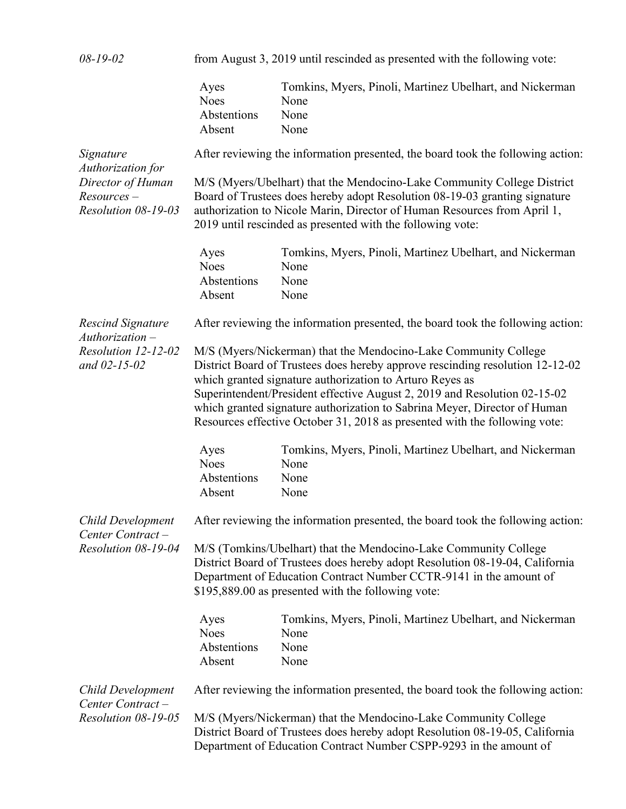| $08 - 19 - 02$                                                                              |                                              | from August 3, 2019 until rescinded as presented with the following vote:                                                                                                                                                                                                                                                                                                                                                                            |
|---------------------------------------------------------------------------------------------|----------------------------------------------|------------------------------------------------------------------------------------------------------------------------------------------------------------------------------------------------------------------------------------------------------------------------------------------------------------------------------------------------------------------------------------------------------------------------------------------------------|
|                                                                                             | Ayes<br><b>Noes</b><br>Abstentions<br>Absent | Tomkins, Myers, Pinoli, Martinez Ubelhart, and Nickerman<br>None<br>None<br>None                                                                                                                                                                                                                                                                                                                                                                     |
| Signature<br>Authorization for<br>Director of Human<br>$Resources -$<br>Resolution 08-19-03 |                                              | After reviewing the information presented, the board took the following action:                                                                                                                                                                                                                                                                                                                                                                      |
|                                                                                             |                                              | M/S (Myers/Ubelhart) that the Mendocino-Lake Community College District<br>Board of Trustees does hereby adopt Resolution 08-19-03 granting signature<br>authorization to Nicole Marin, Director of Human Resources from April 1,<br>2019 until rescinded as presented with the following vote:                                                                                                                                                      |
|                                                                                             | Ayes<br><b>Noes</b><br>Abstentions<br>Absent | Tomkins, Myers, Pinoli, Martinez Ubelhart, and Nickerman<br>None<br>None<br>None                                                                                                                                                                                                                                                                                                                                                                     |
| <b>Rescind Signature</b><br>$Authorization -$                                               |                                              | After reviewing the information presented, the board took the following action:                                                                                                                                                                                                                                                                                                                                                                      |
| Resolution 12-12-02<br>and $02 - 15 - 02$                                                   |                                              | M/S (Myers/Nickerman) that the Mendocino-Lake Community College<br>District Board of Trustees does hereby approve rescinding resolution 12-12-02<br>which granted signature authorization to Arturo Reyes as<br>Superintendent/President effective August 2, 2019 and Resolution 02-15-02<br>which granted signature authorization to Sabrina Meyer, Director of Human<br>Resources effective October 31, 2018 as presented with the following vote: |
|                                                                                             | Ayes<br><b>Noes</b><br>Abstentions<br>Absent | Tomkins, Myers, Pinoli, Martinez Ubelhart, and Nickerman<br>None<br>None<br>None                                                                                                                                                                                                                                                                                                                                                                     |
| <b>Child Development</b>                                                                    |                                              | After reviewing the information presented, the board took the following action:                                                                                                                                                                                                                                                                                                                                                                      |
| Center Contract-<br>Resolution 08-19-04                                                     |                                              | M/S (Tomkins/Ubelhart) that the Mendocino-Lake Community College<br>District Board of Trustees does hereby adopt Resolution 08-19-04, California<br>Department of Education Contract Number CCTR-9141 in the amount of<br>\$195,889.00 as presented with the following vote:                                                                                                                                                                         |
|                                                                                             | Ayes<br><b>Noes</b><br>Abstentions<br>Absent | Tomkins, Myers, Pinoli, Martinez Ubelhart, and Nickerman<br>None<br>None<br>None                                                                                                                                                                                                                                                                                                                                                                     |
| <b>Child Development</b><br>Center Contract-                                                |                                              | After reviewing the information presented, the board took the following action:                                                                                                                                                                                                                                                                                                                                                                      |
| Resolution 08-19-05                                                                         |                                              | M/S (Myers/Nickerman) that the Mendocino-Lake Community College<br>District Board of Trustees does hereby adopt Resolution 08-19-05, California<br>Department of Education Contract Number CSPP-9293 in the amount of                                                                                                                                                                                                                                |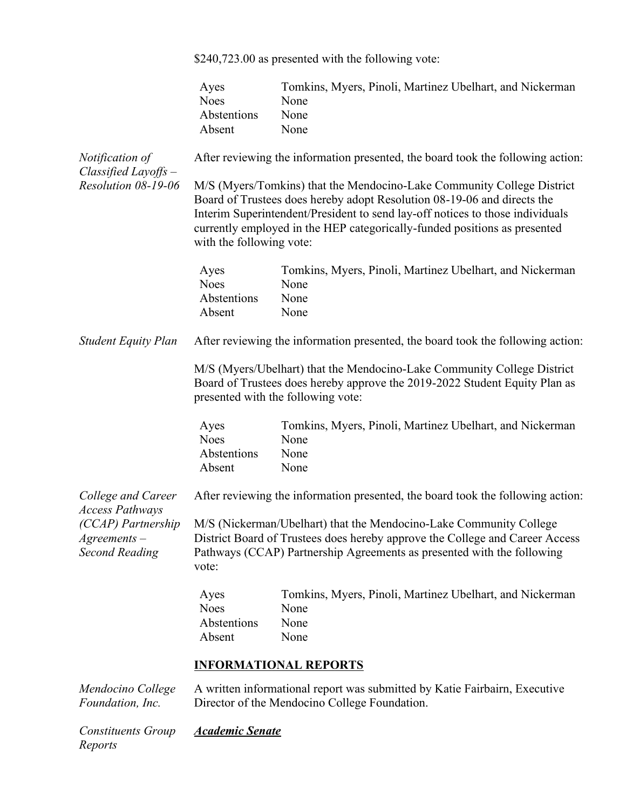\$240,723.00 as presented with the following vote:

|                                                                                            | Ayes<br><b>Noes</b><br>Abstentions<br>Absent | Tomkins, Myers, Pinoli, Martinez Ubelhart, and Nickerman<br>None<br>None<br>None                                                                                                                                                                                                                                |
|--------------------------------------------------------------------------------------------|----------------------------------------------|-----------------------------------------------------------------------------------------------------------------------------------------------------------------------------------------------------------------------------------------------------------------------------------------------------------------|
| Notification of<br>Classified Layoffs -                                                    |                                              | After reviewing the information presented, the board took the following action:                                                                                                                                                                                                                                 |
| Resolution 08-19-06                                                                        | with the following vote:                     | M/S (Myers/Tomkins) that the Mendocino-Lake Community College District<br>Board of Trustees does hereby adopt Resolution 08-19-06 and directs the<br>Interim Superintendent/President to send lay-off notices to those individuals<br>currently employed in the HEP categorically-funded positions as presented |
|                                                                                            | Ayes<br><b>Noes</b><br>Abstentions<br>Absent | Tomkins, Myers, Pinoli, Martinez Ubelhart, and Nickerman<br>None<br>None<br>None                                                                                                                                                                                                                                |
| <b>Student Equity Plan</b>                                                                 |                                              | After reviewing the information presented, the board took the following action:                                                                                                                                                                                                                                 |
|                                                                                            |                                              | M/S (Myers/Ubelhart) that the Mendocino-Lake Community College District<br>Board of Trustees does hereby approve the 2019-2022 Student Equity Plan as<br>presented with the following vote:                                                                                                                     |
|                                                                                            | Ayes<br><b>Noes</b><br>Abstentions<br>Absent | Tomkins, Myers, Pinoli, Martinez Ubelhart, and Nickerman<br>None<br>None<br>None                                                                                                                                                                                                                                |
| College and Career                                                                         |                                              | After reviewing the information presented, the board took the following action:                                                                                                                                                                                                                                 |
| <b>Access Pathways</b><br>(CCAP) Partnership<br>$A$ greements $-$<br><b>Second Reading</b> | vote:                                        | M/S (Nickerman/Ubelhart) that the Mendocino-Lake Community College<br>District Board of Trustees does hereby approve the College and Career Access<br>Pathways (CCAP) Partnership Agreements as presented with the following                                                                                    |
|                                                                                            | Ayes<br><b>Noes</b><br>Abstentions<br>Absent | Tomkins, Myers, Pinoli, Martinez Ubelhart, and Nickerman<br>None<br>None<br>None                                                                                                                                                                                                                                |
|                                                                                            |                                              | <b>INFORMATIONAL REPORTS</b>                                                                                                                                                                                                                                                                                    |
| Mendocino College<br>Foundation, Inc.                                                      |                                              | A written informational report was submitted by Katie Fairbairn, Executive<br>Director of the Mendocino College Foundation.                                                                                                                                                                                     |

*Constituents Group Academic SenateReports*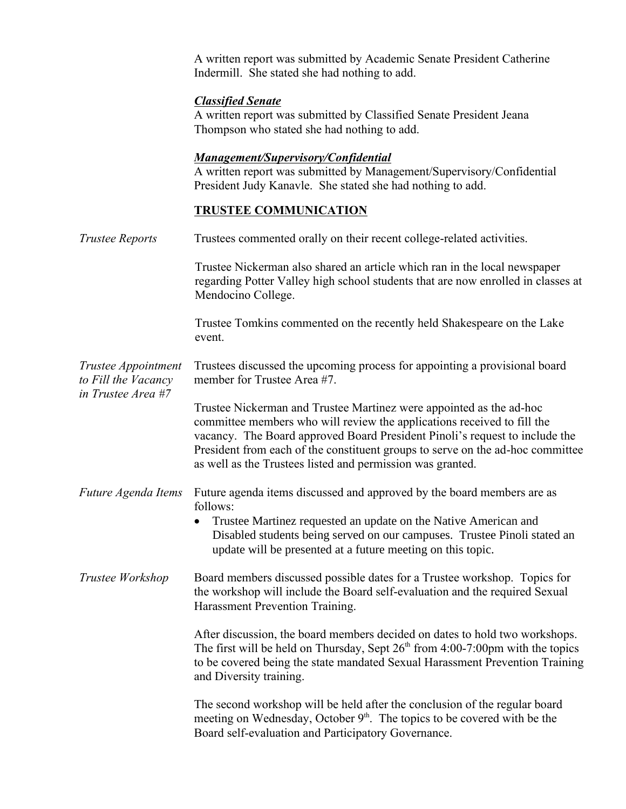A written report was submitted by Academic Senate President Catherine Indermill. She stated she had nothing to add.

# *Classified Senate*

A written report was submitted by Classified Senate President Jeana Thompson who stated she had nothing to add.

## *Management/Supervisory/Confidential*

A written report was submitted by Management/Supervisory/Confidential President Judy Kanavle. She stated she had nothing to add.

# **TRUSTEE COMMUNICATION**

| <b>Trustee Reports</b>                                           | Trustees commented orally on their recent college-related activities.                                                                                                                                                                                                                                                                                                         |
|------------------------------------------------------------------|-------------------------------------------------------------------------------------------------------------------------------------------------------------------------------------------------------------------------------------------------------------------------------------------------------------------------------------------------------------------------------|
|                                                                  | Trustee Nickerman also shared an article which ran in the local newspaper<br>regarding Potter Valley high school students that are now enrolled in classes at<br>Mendocino College.                                                                                                                                                                                           |
|                                                                  | Trustee Tomkins commented on the recently held Shakespeare on the Lake<br>event.                                                                                                                                                                                                                                                                                              |
| Trustee Appointment<br>to Fill the Vacancy<br>in Trustee Area #7 | Trustees discussed the upcoming process for appointing a provisional board<br>member for Trustee Area #7.                                                                                                                                                                                                                                                                     |
|                                                                  | Trustee Nickerman and Trustee Martinez were appointed as the ad-hoc<br>committee members who will review the applications received to fill the<br>vacancy. The Board approved Board President Pinoli's request to include the<br>President from each of the constituent groups to serve on the ad-hoc committee<br>as well as the Trustees listed and permission was granted. |
| Future Agenda Items                                              | Future agenda items discussed and approved by the board members are as<br>follows:<br>Trustee Martinez requested an update on the Native American and<br>$\bullet$<br>Disabled students being served on our campuses. Trustee Pinoli stated an<br>update will be presented at a future meeting on this topic.                                                                 |
| Trustee Workshop                                                 | Board members discussed possible dates for a Trustee workshop. Topics for<br>the workshop will include the Board self-evaluation and the required Sexual<br>Harassment Prevention Training.                                                                                                                                                                                   |
|                                                                  | After discussion, the board members decided on dates to hold two workshops.<br>The first will be held on Thursday, Sept $26th$ from 4:00-7:00pm with the topics<br>to be covered being the state mandated Sexual Harassment Prevention Training<br>and Diversity training.                                                                                                    |
|                                                                  | The second workshop will be held after the conclusion of the regular board<br>meeting on Wednesday, October 9 <sup>th</sup> . The topics to be covered with be the<br>Board self-evaluation and Participatory Governance.                                                                                                                                                     |